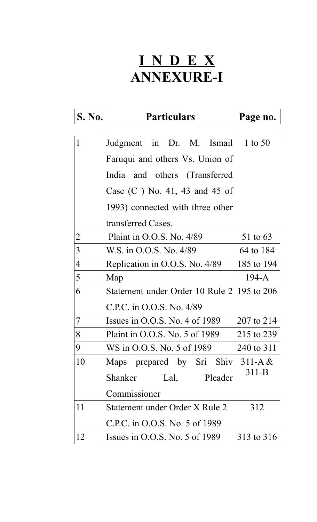# **I N D E X ANNEXURE-I**

| <b>S. No.</b>  | <b>Particulars</b>                         | Page no.   |
|----------------|--------------------------------------------|------------|
|                |                                            |            |
| $\mathbf{1}$   | Judgment in Dr. M. Ismail                  | 1 to 50    |
|                | Faruqui and others Vs. Union of            |            |
|                | India and others (Transferred              |            |
|                | Case $(C)$ No. 41, 43 and 45 of            |            |
|                | 1993) connected with three other           |            |
|                | transferred Cases.                         |            |
| $\overline{2}$ | Plaint in $O.O.S.$ No. $4/89$              | 51 to 63   |
| 3              | W.S. in O.O.S. No. 4/89                    | 64 to 184  |
| $\overline{4}$ | Replication in O.O.S. No. 4/89             | 185 to 194 |
| 5              | Map                                        | $194-A$    |
| 6              | Statement under Order 10 Rule 2 195 to 206 |            |
|                | C.P.C. in O.O.S. No. 4/89                  |            |
| 7              | Issues in $O.O.S.$ No. 4 of 1989           | 207 to 214 |
| 8              | Plaint in O.O.S. No. 5 of 1989             | 215 to 239 |
| 9              | WS in O.O.S. No. 5 of 1989                 | 240 to 311 |
| 10             | Maps prepared by Sri Shiv                  | $311-A &$  |
|                | Shanker Lal, Pleader                       | $311 - B$  |
|                | Commissioner                               |            |
| 11             | Statement under Order X Rule 2             | 312        |
|                | C.P.C. in O.O.S. No. 5 of 1989             |            |
| 12             | Issues in $0.0$ .S. No. 5 of 1989          | 313 to 316 |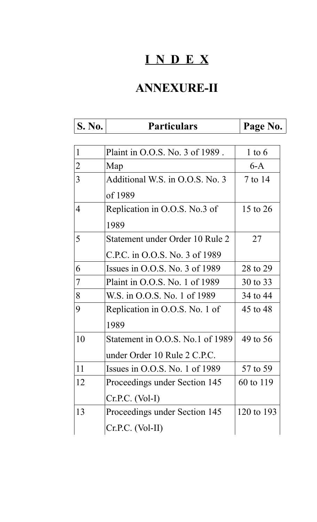# **I N D E X**

## **ANNEXURE-II**

| <b>S. No.</b>  | <b>Particulars</b>                         | Page No.   |
|----------------|--------------------------------------------|------------|
|                |                                            |            |
| 1              | Plaint in O.O.S. No. 3 of 1989.            | $1$ to $6$ |
| $\overline{2}$ | Map                                        | $6-A$      |
| 3              | Additional W.S. in O.O.S. No. 3<br>of 1989 | 7 to 14    |
| 4              | Replication in O.O.S. No.3 of<br>1989      | 15 to 26   |
| 5              | Statement under Order 10 Rule 2            | 27         |
|                | C.P.C. in O.O.S. No. 3 of 1989             |            |
| 6              | Issues in $O.O.S.$ No. 3 of 1989           | 28 to 29   |
| 7              | Plaint in O.O.S. No. 1 of 1989             | 30 to 33   |
| 8              | W.S. in O.O.S. No. 1 of 1989               | 34 to 44   |
| 9              | Replication in O.O.S. No. 1 of             | 45 to 48   |
|                | 1989                                       |            |
| 10             | Statement in O.O.S. No.1 of 1989           | 49 to 56   |
|                | under Order 10 Rule 2 C.P.C.               |            |
| 11             | Issues in $0.0$ .S. No. 1 of 1989          | 57 to 59   |
| 12             | Proceedings under Section 145              | 60 to 119  |
|                | $Cr.P.C. (Vol-I)$                          |            |
| 13             | Proceedings under Section 145              | 120 to 193 |
|                | $Cr.P.C. (Vol-II)$                         |            |